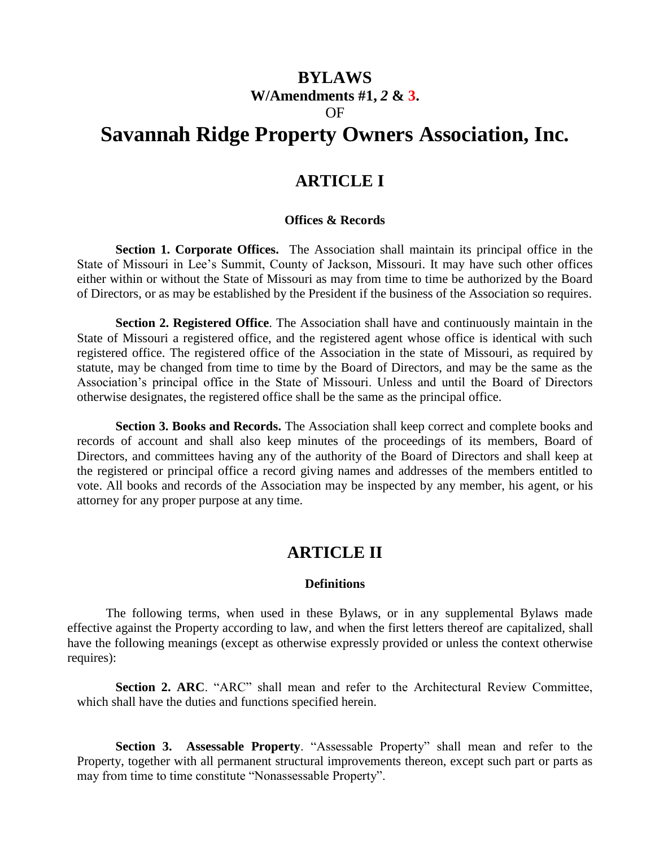# **BYLAWS W/Amendments #1,** *2* **& 3.** OF

# **Savannah Ridge Property Owners Association, Inc.**

# **ARTICLE I**

### **Offices & Records**

**Section 1. Corporate Offices.** The Association shall maintain its principal office in the State of Missouri in Lee's Summit, County of Jackson, Missouri. It may have such other offices either within or without the State of Missouri as may from time to time be authorized by the Board of Directors, or as may be established by the President if the business of the Association so requires.

**Section 2. Registered Office**. The Association shall have and continuously maintain in the State of Missouri a registered office, and the registered agent whose office is identical with such registered office. The registered office of the Association in the state of Missouri, as required by statute, may be changed from time to time by the Board of Directors, and may be the same as the Association's principal office in the State of Missouri. Unless and until the Board of Directors otherwise designates, the registered office shall be the same as the principal office.

**Section 3. Books and Records.** The Association shall keep correct and complete books and records of account and shall also keep minutes of the proceedings of its members, Board of Directors, and committees having any of the authority of the Board of Directors and shall keep at the registered or principal office a record giving names and addresses of the members entitled to vote. All books and records of the Association may be inspected by any member, his agent, or his attorney for any proper purpose at any time.

# **ARTICLE II**

### **Definitions**

The following terms, when used in these Bylaws, or in any supplemental Bylaws made effective against the Property according to law, and when the first letters thereof are capitalized, shall have the following meanings (except as otherwise expressly provided or unless the context otherwise requires):

**Section 2. ARC**. "ARC" shall mean and refer to the Architectural Review Committee, which shall have the duties and functions specified herein.

**Section 3. Assessable Property**. "Assessable Property" shall mean and refer to the Property, together with all permanent structural improvements thereon, except such part or parts as may from time to time constitute "Nonassessable Property".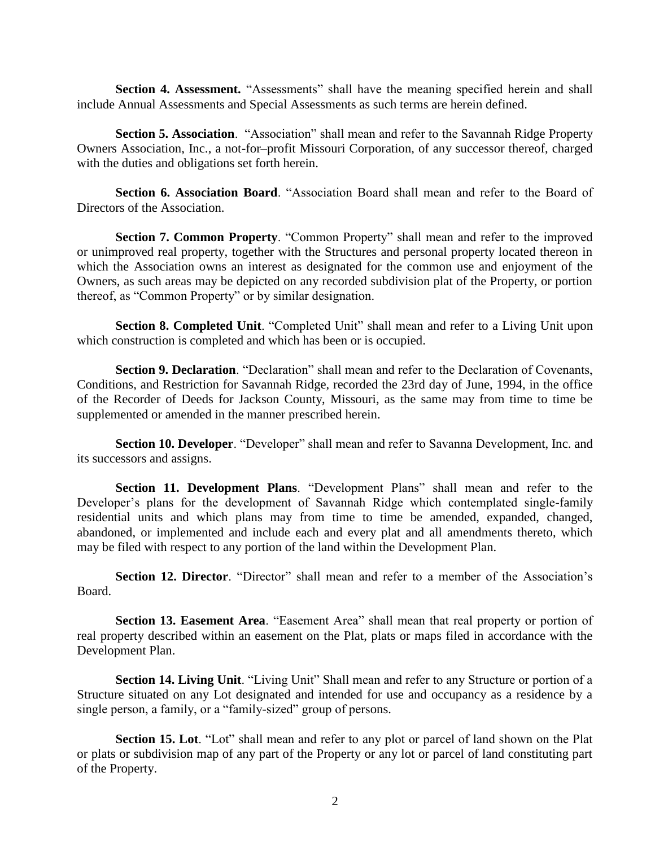**Section 4. Assessment.** "Assessments" shall have the meaning specified herein and shall include Annual Assessments and Special Assessments as such terms are herein defined.

**Section 5. Association**. "Association" shall mean and refer to the Savannah Ridge Property Owners Association, Inc., a not-for–profit Missouri Corporation, of any successor thereof, charged with the duties and obligations set forth herein.

**Section 6. Association Board**. "Association Board shall mean and refer to the Board of Directors of the Association.

**Section 7. Common Property**. "Common Property" shall mean and refer to the improved or unimproved real property, together with the Structures and personal property located thereon in which the Association owns an interest as designated for the common use and enjoyment of the Owners, as such areas may be depicted on any recorded subdivision plat of the Property, or portion thereof, as "Common Property" or by similar designation.

**Section 8. Completed Unit**. "Completed Unit" shall mean and refer to a Living Unit upon which construction is completed and which has been or is occupied.

**Section 9. Declaration**. "Declaration" shall mean and refer to the Declaration of Covenants, Conditions, and Restriction for Savannah Ridge, recorded the 23rd day of June, 1994, in the office of the Recorder of Deeds for Jackson County, Missouri, as the same may from time to time be supplemented or amended in the manner prescribed herein.

**Section 10. Developer**. "Developer" shall mean and refer to Savanna Development, Inc. and its successors and assigns.

**Section 11. Development Plans**. "Development Plans" shall mean and refer to the Developer's plans for the development of Savannah Ridge which contemplated single-family residential units and which plans may from time to time be amended, expanded, changed, abandoned, or implemented and include each and every plat and all amendments thereto, which may be filed with respect to any portion of the land within the Development Plan.

**Section 12. Director**. "Director" shall mean and refer to a member of the Association's Board.

**Section 13. Easement Area**. "Easement Area" shall mean that real property or portion of real property described within an easement on the Plat, plats or maps filed in accordance with the Development Plan.

**Section 14. Living Unit**. "Living Unit" Shall mean and refer to any Structure or portion of a Structure situated on any Lot designated and intended for use and occupancy as a residence by a single person, a family, or a "family-sized" group of persons.

**Section 15. Lot**. "Lot" shall mean and refer to any plot or parcel of land shown on the Plat or plats or subdivision map of any part of the Property or any lot or parcel of land constituting part of the Property.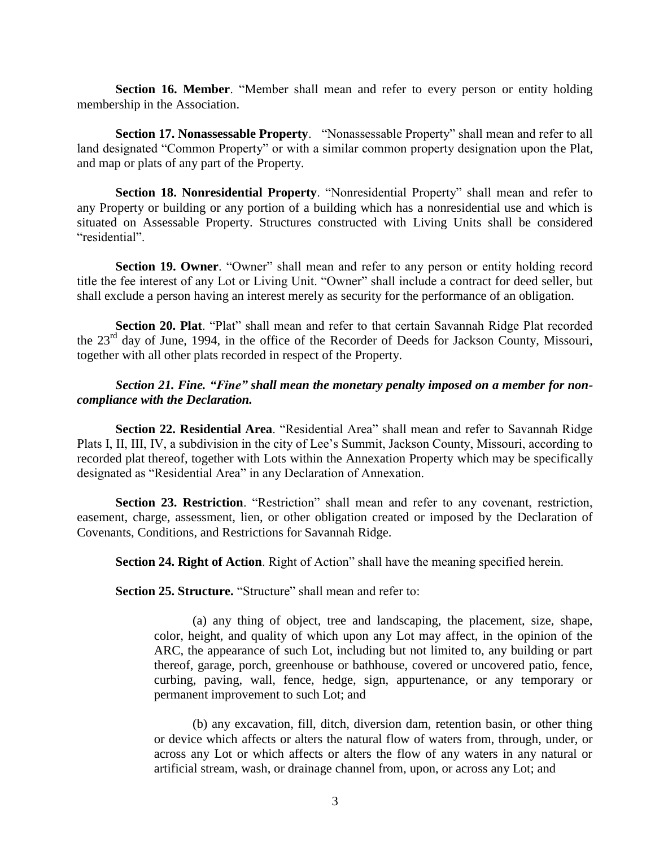**Section 16. Member**. "Member shall mean and refer to every person or entity holding membership in the Association.

**Section 17. Nonassessable Property**. "Nonassessable Property" shall mean and refer to all land designated "Common Property" or with a similar common property designation upon the Plat, and map or plats of any part of the Property.

**Section 18. Nonresidential Property**. "Nonresidential Property" shall mean and refer to any Property or building or any portion of a building which has a nonresidential use and which is situated on Assessable Property. Structures constructed with Living Units shall be considered "residential".

**Section 19. Owner**. "Owner" shall mean and refer to any person or entity holding record title the fee interest of any Lot or Living Unit. "Owner" shall include a contract for deed seller, but shall exclude a person having an interest merely as security for the performance of an obligation.

**Section 20. Plat**. "Plat" shall mean and refer to that certain Savannah Ridge Plat recorded the 23rd day of June, 1994, in the office of the Recorder of Deeds for Jackson County, Missouri, together with all other plats recorded in respect of the Property.

# *Section 21. Fine. "Fine" shall mean the monetary penalty imposed on a member for noncompliance with the Declaration.*

**Section 22. Residential Area**. "Residential Area" shall mean and refer to Savannah Ridge Plats I, II, III, IV, a subdivision in the city of Lee's Summit, Jackson County, Missouri, according to recorded plat thereof, together with Lots within the Annexation Property which may be specifically designated as "Residential Area" in any Declaration of Annexation.

**Section 23. Restriction**. "Restriction" shall mean and refer to any covenant, restriction, easement, charge, assessment, lien, or other obligation created or imposed by the Declaration of Covenants, Conditions, and Restrictions for Savannah Ridge.

**Section 24. Right of Action**. Right of Action" shall have the meaning specified herein.

**Section 25. Structure.** "Structure" shall mean and refer to:

(a) any thing of object, tree and landscaping, the placement, size, shape, color, height, and quality of which upon any Lot may affect, in the opinion of the ARC, the appearance of such Lot, including but not limited to, any building or part thereof, garage, porch, greenhouse or bathhouse, covered or uncovered patio, fence, curbing, paving, wall, fence, hedge, sign, appurtenance, or any temporary or permanent improvement to such Lot; and

(b) any excavation, fill, ditch, diversion dam, retention basin, or other thing or device which affects or alters the natural flow of waters from, through, under, or across any Lot or which affects or alters the flow of any waters in any natural or artificial stream, wash, or drainage channel from, upon, or across any Lot; and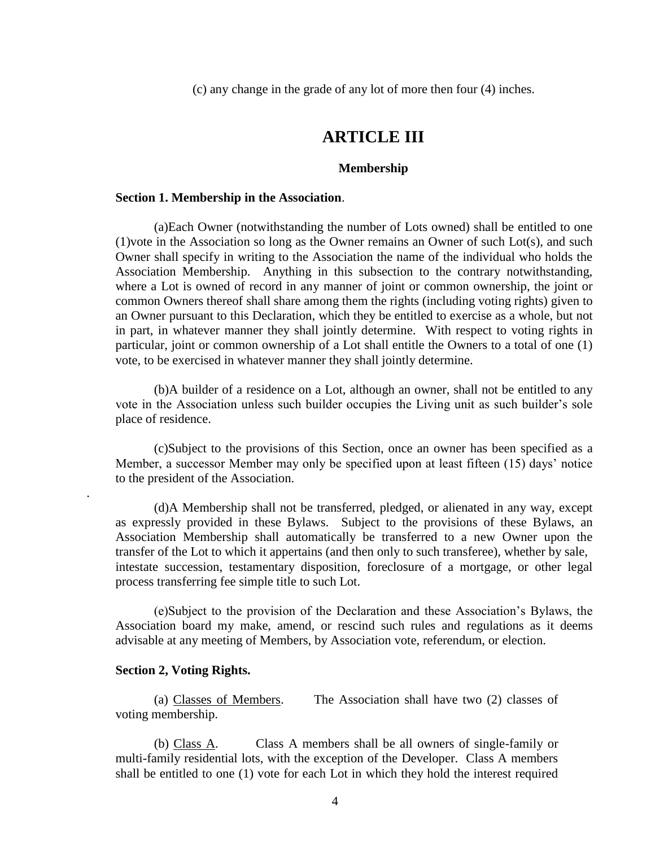(c) any change in the grade of any lot of more then four (4) inches.

# **ARTICLE III**

#### **Membership**

#### **Section 1. Membership in the Association**.

(a)Each Owner (notwithstanding the number of Lots owned) shall be entitled to one (1)vote in the Association so long as the Owner remains an Owner of such Lot(s), and such Owner shall specify in writing to the Association the name of the individual who holds the Association Membership. Anything in this subsection to the contrary notwithstanding, where a Lot is owned of record in any manner of joint or common ownership, the joint or common Owners thereof shall share among them the rights (including voting rights) given to an Owner pursuant to this Declaration, which they be entitled to exercise as a whole, but not in part, in whatever manner they shall jointly determine. With respect to voting rights in particular, joint or common ownership of a Lot shall entitle the Owners to a total of one (1) vote, to be exercised in whatever manner they shall jointly determine.

(b)A builder of a residence on a Lot, although an owner, shall not be entitled to any vote in the Association unless such builder occupies the Living unit as such builder's sole place of residence.

(c)Subject to the provisions of this Section, once an owner has been specified as a Member, a successor Member may only be specified upon at least fifteen (15) days' notice to the president of the Association.

(d)A Membership shall not be transferred, pledged, or alienated in any way, except as expressly provided in these Bylaws. Subject to the provisions of these Bylaws, an Association Membership shall automatically be transferred to a new Owner upon the transfer of the Lot to which it appertains (and then only to such transferee), whether by sale, intestate succession, testamentary disposition, foreclosure of a mortgage, or other legal process transferring fee simple title to such Lot.

(e)Subject to the provision of the Declaration and these Association's Bylaws, the Association board my make, amend, or rescind such rules and regulations as it deems advisable at any meeting of Members, by Association vote, referendum, or election.

## **Section 2, Voting Rights.**

.

(a) Classes of Members. The Association shall have two (2) classes of voting membership.

(b) Class A. Class A members shall be all owners of single-family or multi-family residential lots, with the exception of the Developer. Class A members shall be entitled to one (1) vote for each Lot in which they hold the interest required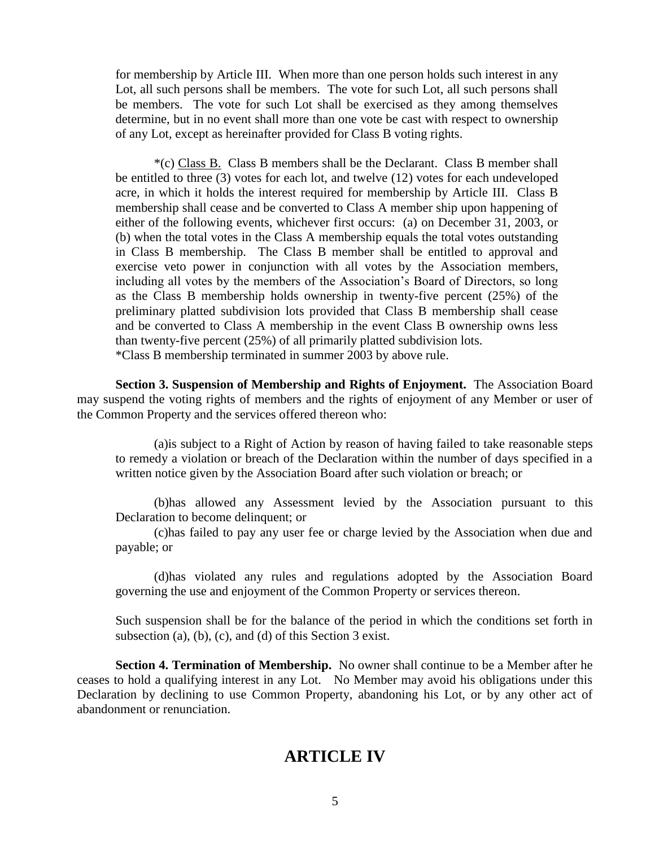for membership by Article III. When more than one person holds such interest in any Lot, all such persons shall be members. The vote for such Lot, all such persons shall be members. The vote for such Lot shall be exercised as they among themselves determine, but in no event shall more than one vote be cast with respect to ownership of any Lot, except as hereinafter provided for Class B voting rights.

\*(c) Class B. Class B members shall be the Declarant. Class B member shall be entitled to three (3) votes for each lot, and twelve (12) votes for each undeveloped acre, in which it holds the interest required for membership by Article III. Class B membership shall cease and be converted to Class A member ship upon happening of either of the following events, whichever first occurs: (a) on December 31, 2003, or (b) when the total votes in the Class A membership equals the total votes outstanding in Class B membership. The Class B member shall be entitled to approval and exercise veto power in conjunction with all votes by the Association members, including all votes by the members of the Association's Board of Directors, so long as the Class B membership holds ownership in twenty-five percent (25%) of the preliminary platted subdivision lots provided that Class B membership shall cease and be converted to Class A membership in the event Class B ownership owns less than twenty-five percent (25%) of all primarily platted subdivision lots. \*Class B membership terminated in summer 2003 by above rule.

**Section 3. Suspension of Membership and Rights of Enjoyment.** The Association Board may suspend the voting rights of members and the rights of enjoyment of any Member or user of the Common Property and the services offered thereon who:

(a)is subject to a Right of Action by reason of having failed to take reasonable steps to remedy a violation or breach of the Declaration within the number of days specified in a written notice given by the Association Board after such violation or breach; or

(b)has allowed any Assessment levied by the Association pursuant to this Declaration to become delinquent; or

(c)has failed to pay any user fee or charge levied by the Association when due and payable; or

(d)has violated any rules and regulations adopted by the Association Board governing the use and enjoyment of the Common Property or services thereon.

Such suspension shall be for the balance of the period in which the conditions set forth in subsection (a), (b), (c), and (d) of this Section 3 exist.

**Section 4. Termination of Membership.** No owner shall continue to be a Member after he ceases to hold a qualifying interest in any Lot. No Member may avoid his obligations under this Declaration by declining to use Common Property, abandoning his Lot, or by any other act of abandonment or renunciation.

# **ARTICLE IV**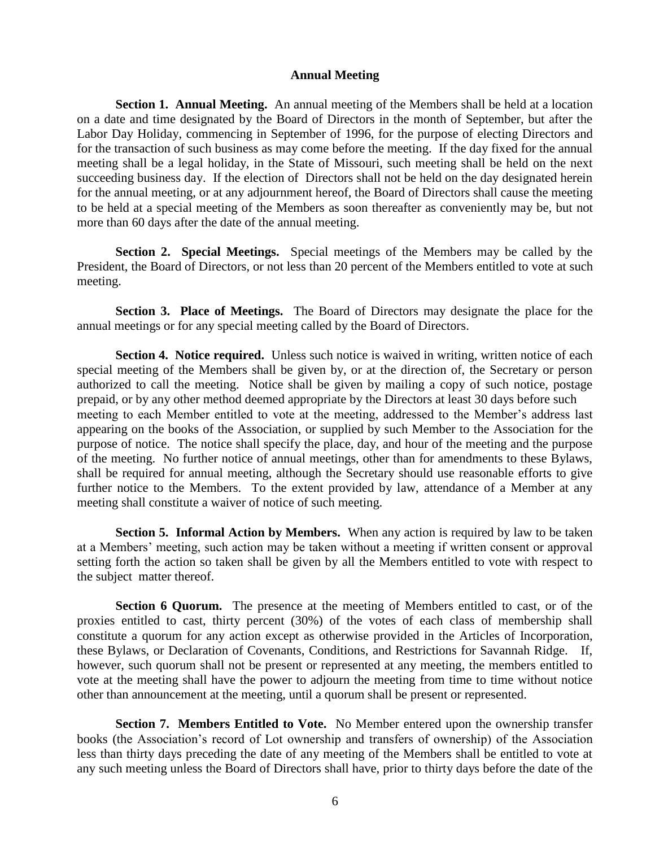### **Annual Meeting**

**Section 1. Annual Meeting.** An annual meeting of the Members shall be held at a location on a date and time designated by the Board of Directors in the month of September, but after the Labor Day Holiday, commencing in September of 1996, for the purpose of electing Directors and for the transaction of such business as may come before the meeting. If the day fixed for the annual meeting shall be a legal holiday, in the State of Missouri, such meeting shall be held on the next succeeding business day. If the election of Directors shall not be held on the day designated herein for the annual meeting, or at any adjournment hereof, the Board of Directors shall cause the meeting to be held at a special meeting of the Members as soon thereafter as conveniently may be, but not more than 60 days after the date of the annual meeting.

**Section 2. Special Meetings.** Special meetings of the Members may be called by the President, the Board of Directors, or not less than 20 percent of the Members entitled to vote at such meeting.

**Section 3. Place of Meetings.** The Board of Directors may designate the place for the annual meetings or for any special meeting called by the Board of Directors.

**Section 4. Notice required.** Unless such notice is waived in writing, written notice of each special meeting of the Members shall be given by, or at the direction of, the Secretary or person authorized to call the meeting. Notice shall be given by mailing a copy of such notice, postage prepaid, or by any other method deemed appropriate by the Directors at least 30 days before such meeting to each Member entitled to vote at the meeting, addressed to the Member's address last appearing on the books of the Association, or supplied by such Member to the Association for the purpose of notice. The notice shall specify the place, day, and hour of the meeting and the purpose of the meeting. No further notice of annual meetings, other than for amendments to these Bylaws, shall be required for annual meeting, although the Secretary should use reasonable efforts to give further notice to the Members. To the extent provided by law, attendance of a Member at any meeting shall constitute a waiver of notice of such meeting.

**Section 5. Informal Action by Members.** When any action is required by law to be taken at a Members' meeting, such action may be taken without a meeting if written consent or approval setting forth the action so taken shall be given by all the Members entitled to vote with respect to the subject matter thereof.

**Section 6 Quorum.** The presence at the meeting of Members entitled to cast, or of the proxies entitled to cast, thirty percent (30%) of the votes of each class of membership shall constitute a quorum for any action except as otherwise provided in the Articles of Incorporation, these Bylaws, or Declaration of Covenants, Conditions, and Restrictions for Savannah Ridge. If, however, such quorum shall not be present or represented at any meeting, the members entitled to vote at the meeting shall have the power to adjourn the meeting from time to time without notice other than announcement at the meeting, until a quorum shall be present or represented.

**Section 7. Members Entitled to Vote.** No Member entered upon the ownership transfer books (the Association's record of Lot ownership and transfers of ownership) of the Association less than thirty days preceding the date of any meeting of the Members shall be entitled to vote at any such meeting unless the Board of Directors shall have, prior to thirty days before the date of the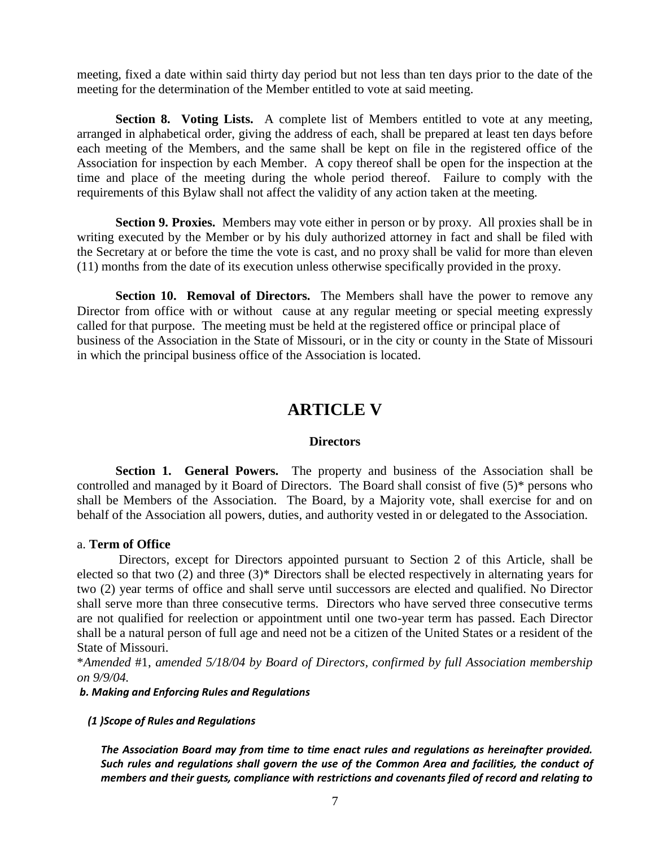meeting, fixed a date within said thirty day period but not less than ten days prior to the date of the meeting for the determination of the Member entitled to vote at said meeting.

**Section 8. Voting Lists.** A complete list of Members entitled to vote at any meeting, arranged in alphabetical order, giving the address of each, shall be prepared at least ten days before each meeting of the Members, and the same shall be kept on file in the registered office of the Association for inspection by each Member. A copy thereof shall be open for the inspection at the time and place of the meeting during the whole period thereof. Failure to comply with the requirements of this Bylaw shall not affect the validity of any action taken at the meeting.

**Section 9. Proxies.** Members may vote either in person or by proxy. All proxies shall be in writing executed by the Member or by his duly authorized attorney in fact and shall be filed with the Secretary at or before the time the vote is cast, and no proxy shall be valid for more than eleven (11) months from the date of its execution unless otherwise specifically provided in the proxy.

**Section 10. Removal of Directors.** The Members shall have the power to remove any Director from office with or without cause at any regular meeting or special meeting expressly called for that purpose. The meeting must be held at the registered office or principal place of business of the Association in the State of Missouri, or in the city or county in the State of Missouri in which the principal business office of the Association is located.

# **ARTICLE V**

### **Directors**

**Section 1. General Powers.** The property and business of the Association shall be controlled and managed by it Board of Directors. The Board shall consist of five (5)\* persons who shall be Members of the Association. The Board, by a Majority vote, shall exercise for and on behalf of the Association all powers, duties, and authority vested in or delegated to the Association.

### a. **Term of Office**

Directors, except for Directors appointed pursuant to Section 2 of this Article, shall be elected so that two (2) and three (3)\* Directors shall be elected respectively in alternating years for two (2) year terms of office and shall serve until successors are elected and qualified. No Director shall serve more than three consecutive terms. Directors who have served three consecutive terms are not qualified for reelection or appointment until one two-year term has passed. Each Director shall be a natural person of full age and need not be a citizen of the United States or a resident of the State of Missouri.

\**Amended* #1, *amended 5/18/04 by Board of Directors, confirmed by full Association membership on 9/9/04.*

*b. Making and Enforcing Rules and Regulations*

 *(1 )Scope of Rules and Regulations*

*The Association Board may from time to time enact rules and regulations as hereinafter provided. Such rules and regulations shall govern the use of the Common Area and facilities, the conduct of members and their guests, compliance with restrictions and covenants filed of record and relating to*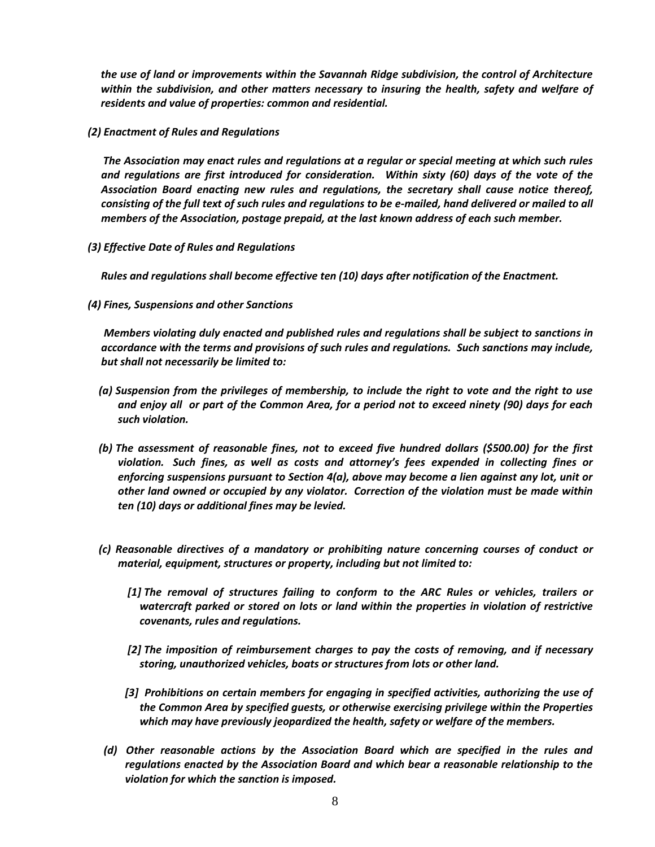*the use of land or improvements within the Savannah Ridge subdivision, the control of Architecture within the subdivision, and other matters necessary to insuring the health, safety and welfare of residents and value of properties: common and residential.*

 *(2) Enactment of Rules and Regulations* 

 *The Association may enact rules and regulations at a regular or special meeting at which such rules and regulations are first introduced for consideration. Within sixty (60) days of the vote of the Association Board enacting new rules and regulations, the secretary shall cause notice thereof, consisting of the full text of such rules and regulations to be e-mailed, hand delivered or mailed to all members of the Association, postage prepaid, at the last known address of each such member.*

 *(3) Effective Date of Rules and Regulations*

 *Rules and regulations shall become effective ten (10) days after notification of the Enactment.* 

 *(4) Fines, Suspensions and other Sanctions*

*Members violating duly enacted and published rules and regulations shall be subject to sanctions in accordance with the terms and provisions of such rules and regulations. Such sanctions may include, but shall not necessarily be limited to:*

- *(a) Suspension from the privileges of membership, to include the right to vote and the right to use and enjoy all or part of the Common Area, for a period not to exceed ninety (90) days for each such violation.*
- *(b) The assessment of reasonable fines, not to exceed five hundred dollars (\$500.00) for the first violation. Such fines, as well as costs and attorney's fees expended in collecting fines or enforcing suspensions pursuant to Section 4(a), above may become a lien against any lot, unit or other land owned or occupied by any violator. Correction of the violation must be made within ten (10) days or additional fines may be levied.*
- *(c) Reasonable directives of a mandatory or prohibiting nature concerning courses of conduct or material, equipment, structures or property, including but not limited to:*
	- *[1] The removal of structures failing to conform to the ARC Rules or vehicles, trailers or watercraft parked or stored on lots or land within the properties in violation of restrictive covenants, rules and regulations.*
	- *[2] The imposition of reimbursement charges to pay the costs of removing, and if necessary storing, unauthorized vehicles, boats or structures from lots or other land.*
	- *[3] Prohibitions on certain members for engaging in specified activities, authorizing the use of the Common Area by specified guests, or otherwise exercising privilege within the Properties which may have previously jeopardized the health, safety or welfare of the members.*
- *(d) Other reasonable actions by the Association Board which are specified in the rules and regulations enacted by the Association Board and which bear a reasonable relationship to the violation for which the sanction is imposed.*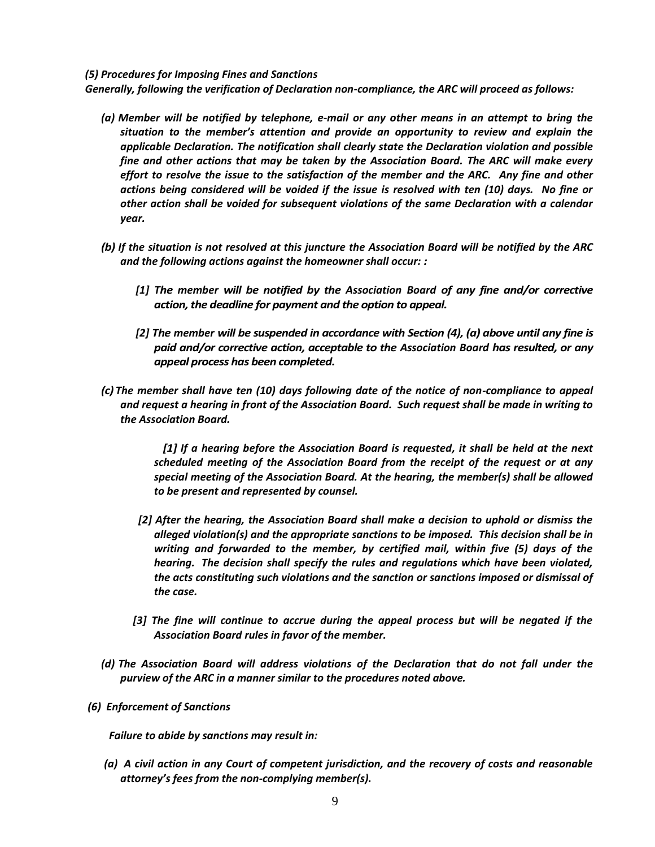#### *(5) Procedures for Imposing Fines and Sanctions*

 *Generally, following the verification of Declaration non-compliance, the ARC will proceed as follows:* 

- *(a) Member will be notified by telephone, e-mail or any other means in an attempt to bring the situation to the member's attention and provide an opportunity to review and explain the applicable Declaration. The notification shall clearly state the Declaration violation and possible fine and other actions that may be taken by the Association Board. The ARC will make every effort to resolve the issue to the satisfaction of the member and the ARC. Any fine and other actions being considered will be voided if the issue is resolved with ten (10) days. No fine or other action shall be voided for subsequent violations of the same Declaration with a calendar year.*
- *(b) If the situation is not resolved at this juncture the Association Board will be notified by the ARC and the following actions against the homeowner shall occur: :*
	- *[1] The member will be notified by the Association Board of any fine and/or corrective action, the deadline for payment and the option to appeal.*
	- *[2] The member will be suspended in accordance with Section (4), (a) above until any fine is paid and/or corrective action, acceptable to the Association Board has resulted, or any appeal process has been completed.*
- *(c) The member shall have ten (10) days following date of the notice of non-compliance to appeal and request a hearing in front of the Association Board. Such request shall be made in writing to the Association Board.*

 *[1] If a hearing before the Association Board is requested, it shall be held at the next scheduled meeting of the Association Board from the receipt of the request or at any special meeting of the Association Board. At the hearing, the member(s) shall be allowed to be present and represented by counsel.*

- *[2] After the hearing, the Association Board shall make a decision to uphold or dismiss the alleged violation(s) and the appropriate sanctions to be imposed. This decision shall be in writing and forwarded to the member, by certified mail, within five (5) days of the hearing. The decision shall specify the rules and regulations which have been violated, the acts constituting such violations and the sanction or sanctions imposed or dismissal of the case.*
- *[3] The fine will continue to accrue during the appeal process but will be negated if the Association Board rules in favor of the member.*
- *(d) The Association Board will address violations of the Declaration that do not fall under the purview of the ARC in a manner similar to the procedures noted above.*
- *(6) Enforcement of Sanctions*

 *Failure to abide by sanctions may result in:*

 *(a) A civil action in any Court of competent jurisdiction, and the recovery of costs and reasonable attorney's fees from the non-complying member(s).*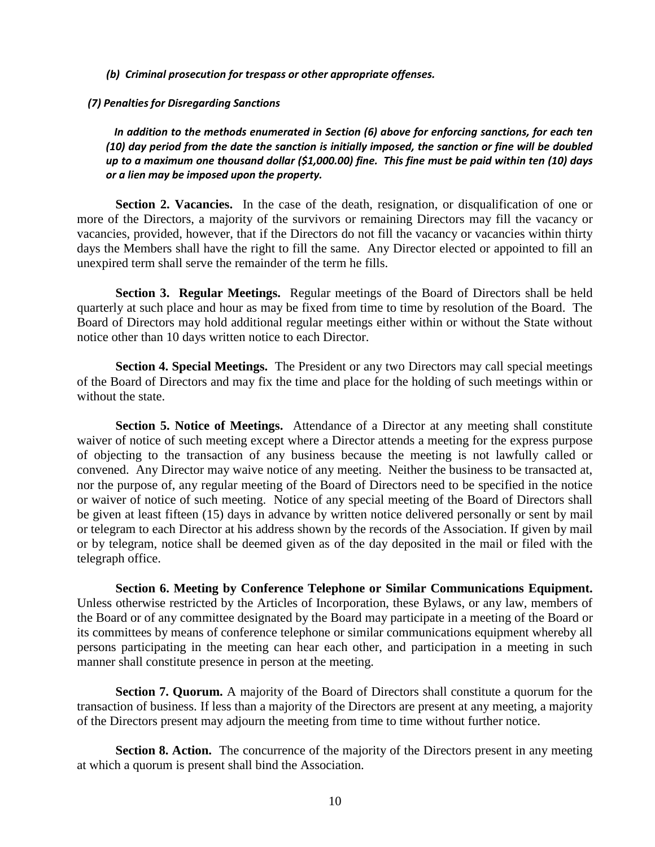*(b) Criminal prosecution for trespass or other appropriate offenses.* 

 *(7) Penalties for Disregarding Sanctions*

 *In addition to the methods enumerated in Section (6) above for enforcing sanctions, for each ten (10) day period from the date the sanction is initially imposed, the sanction or fine will be doubled up to a maximum one thousand dollar (\$1,000.00) fine. This fine must be paid within ten (10) days or a lien may be imposed upon the property.*

Section 2. Vacancies. In the case of the death, resignation, or disqualification of one or more of the Directors, a majority of the survivors or remaining Directors may fill the vacancy or vacancies, provided, however, that if the Directors do not fill the vacancy or vacancies within thirty days the Members shall have the right to fill the same. Any Director elected or appointed to fill an unexpired term shall serve the remainder of the term he fills.

**Section 3. Regular Meetings.** Regular meetings of the Board of Directors shall be held quarterly at such place and hour as may be fixed from time to time by resolution of the Board. The Board of Directors may hold additional regular meetings either within or without the State without notice other than 10 days written notice to each Director.

**Section 4. Special Meetings.** The President or any two Directors may call special meetings of the Board of Directors and may fix the time and place for the holding of such meetings within or without the state.

**Section 5. Notice of Meetings.** Attendance of a Director at any meeting shall constitute waiver of notice of such meeting except where a Director attends a meeting for the express purpose of objecting to the transaction of any business because the meeting is not lawfully called or convened. Any Director may waive notice of any meeting. Neither the business to be transacted at, nor the purpose of, any regular meeting of the Board of Directors need to be specified in the notice or waiver of notice of such meeting. Notice of any special meeting of the Board of Directors shall be given at least fifteen (15) days in advance by written notice delivered personally or sent by mail or telegram to each Director at his address shown by the records of the Association. If given by mail or by telegram, notice shall be deemed given as of the day deposited in the mail or filed with the telegraph office.

**Section 6. Meeting by Conference Telephone or Similar Communications Equipment.**  Unless otherwise restricted by the Articles of Incorporation, these Bylaws, or any law, members of the Board or of any committee designated by the Board may participate in a meeting of the Board or its committees by means of conference telephone or similar communications equipment whereby all persons participating in the meeting can hear each other, and participation in a meeting in such manner shall constitute presence in person at the meeting.

**Section 7. Quorum.** A majority of the Board of Directors shall constitute a quorum for the transaction of business. If less than a majority of the Directors are present at any meeting, a majority of the Directors present may adjourn the meeting from time to time without further notice.

**Section 8. Action.** The concurrence of the majority of the Directors present in any meeting at which a quorum is present shall bind the Association.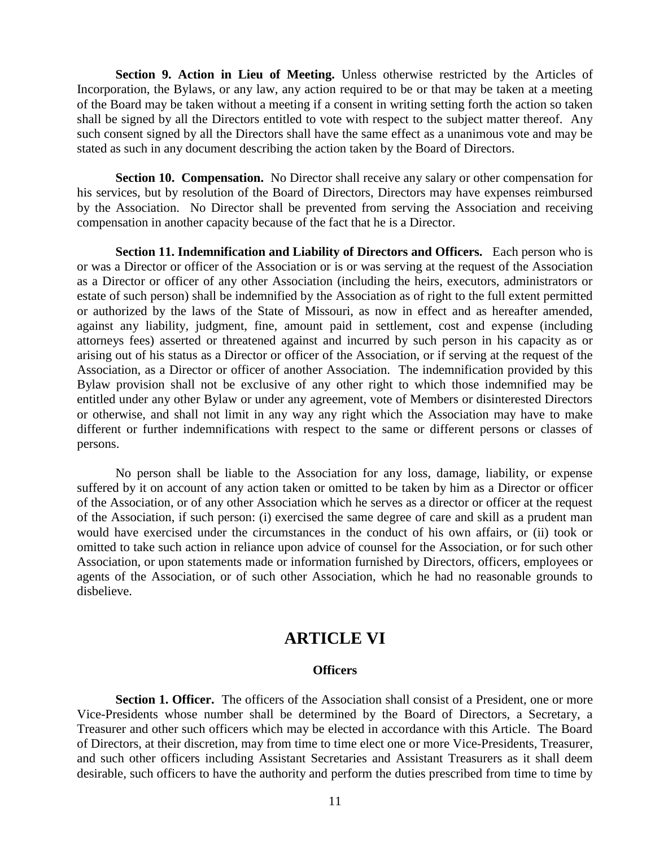**Section 9. Action in Lieu of Meeting.** Unless otherwise restricted by the Articles of Incorporation, the Bylaws, or any law, any action required to be or that may be taken at a meeting of the Board may be taken without a meeting if a consent in writing setting forth the action so taken shall be signed by all the Directors entitled to vote with respect to the subject matter thereof. Any such consent signed by all the Directors shall have the same effect as a unanimous vote and may be stated as such in any document describing the action taken by the Board of Directors.

**Section 10. Compensation.** No Director shall receive any salary or other compensation for his services, but by resolution of the Board of Directors, Directors may have expenses reimbursed by the Association. No Director shall be prevented from serving the Association and receiving compensation in another capacity because of the fact that he is a Director.

**Section 11. Indemnification and Liability of Directors and Officers.** Each person who is or was a Director or officer of the Association or is or was serving at the request of the Association as a Director or officer of any other Association (including the heirs, executors, administrators or estate of such person) shall be indemnified by the Association as of right to the full extent permitted or authorized by the laws of the State of Missouri, as now in effect and as hereafter amended, against any liability, judgment, fine, amount paid in settlement, cost and expense (including attorneys fees) asserted or threatened against and incurred by such person in his capacity as or arising out of his status as a Director or officer of the Association, or if serving at the request of the Association, as a Director or officer of another Association. The indemnification provided by this Bylaw provision shall not be exclusive of any other right to which those indemnified may be entitled under any other Bylaw or under any agreement, vote of Members or disinterested Directors or otherwise, and shall not limit in any way any right which the Association may have to make different or further indemnifications with respect to the same or different persons or classes of persons.

No person shall be liable to the Association for any loss, damage, liability, or expense suffered by it on account of any action taken or omitted to be taken by him as a Director or officer of the Association, or of any other Association which he serves as a director or officer at the request of the Association, if such person: (i) exercised the same degree of care and skill as a prudent man would have exercised under the circumstances in the conduct of his own affairs, or (ii) took or omitted to take such action in reliance upon advice of counsel for the Association, or for such other Association, or upon statements made or information furnished by Directors, officers, employees or agents of the Association, or of such other Association, which he had no reasonable grounds to disbelieve.

# **ARTICLE VI**

### **Officers**

**Section 1. Officer.** The officers of the Association shall consist of a President, one or more Vice-Presidents whose number shall be determined by the Board of Directors, a Secretary, a Treasurer and other such officers which may be elected in accordance with this Article. The Board of Directors, at their discretion, may from time to time elect one or more Vice-Presidents, Treasurer, and such other officers including Assistant Secretaries and Assistant Treasurers as it shall deem desirable, such officers to have the authority and perform the duties prescribed from time to time by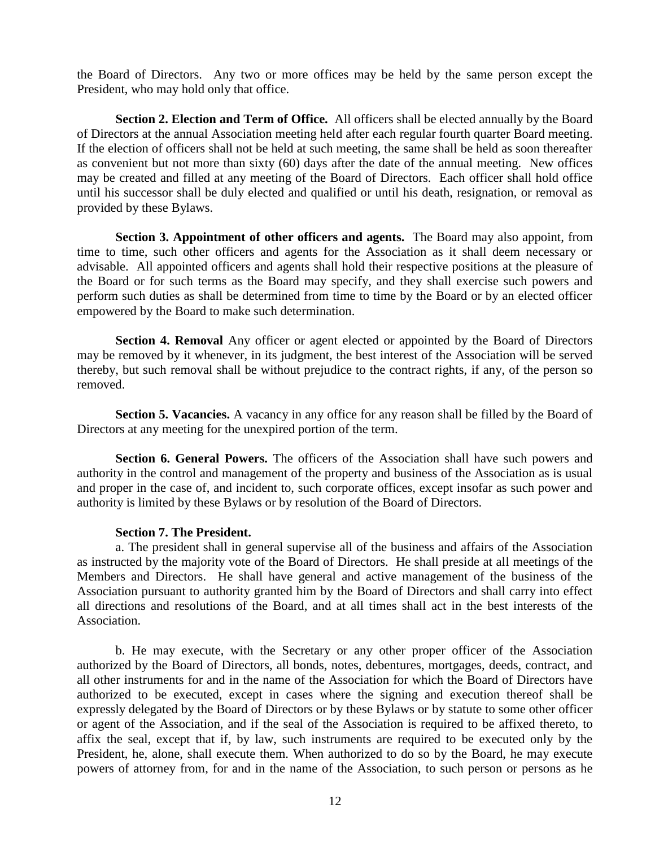the Board of Directors. Any two or more offices may be held by the same person except the President, who may hold only that office.

**Section 2. Election and Term of Office.** All officers shall be elected annually by the Board of Directors at the annual Association meeting held after each regular fourth quarter Board meeting. If the election of officers shall not be held at such meeting, the same shall be held as soon thereafter as convenient but not more than sixty (60) days after the date of the annual meeting. New offices may be created and filled at any meeting of the Board of Directors. Each officer shall hold office until his successor shall be duly elected and qualified or until his death, resignation, or removal as provided by these Bylaws.

**Section 3. Appointment of other officers and agents.** The Board may also appoint, from time to time, such other officers and agents for the Association as it shall deem necessary or advisable. All appointed officers and agents shall hold their respective positions at the pleasure of the Board or for such terms as the Board may specify, and they shall exercise such powers and perform such duties as shall be determined from time to time by the Board or by an elected officer empowered by the Board to make such determination.

**Section 4. Removal** Any officer or agent elected or appointed by the Board of Directors may be removed by it whenever, in its judgment, the best interest of the Association will be served thereby, but such removal shall be without prejudice to the contract rights, if any, of the person so removed.

**Section 5. Vacancies.** A vacancy in any office for any reason shall be filled by the Board of Directors at any meeting for the unexpired portion of the term.

**Section 6. General Powers.** The officers of the Association shall have such powers and authority in the control and management of the property and business of the Association as is usual and proper in the case of, and incident to, such corporate offices, except insofar as such power and authority is limited by these Bylaws or by resolution of the Board of Directors.

### **Section 7. The President.**

a. The president shall in general supervise all of the business and affairs of the Association as instructed by the majority vote of the Board of Directors. He shall preside at all meetings of the Members and Directors. He shall have general and active management of the business of the Association pursuant to authority granted him by the Board of Directors and shall carry into effect all directions and resolutions of the Board, and at all times shall act in the best interests of the Association.

b. He may execute, with the Secretary or any other proper officer of the Association authorized by the Board of Directors, all bonds, notes, debentures, mortgages, deeds, contract, and all other instruments for and in the name of the Association for which the Board of Directors have authorized to be executed, except in cases where the signing and execution thereof shall be expressly delegated by the Board of Directors or by these Bylaws or by statute to some other officer or agent of the Association, and if the seal of the Association is required to be affixed thereto, to affix the seal, except that if, by law, such instruments are required to be executed only by the President, he, alone, shall execute them. When authorized to do so by the Board, he may execute powers of attorney from, for and in the name of the Association, to such person or persons as he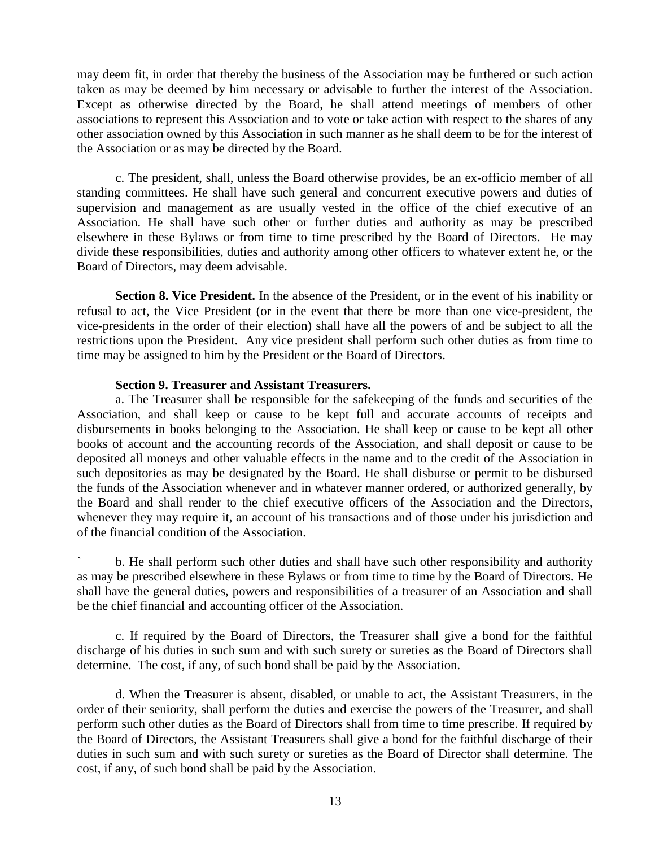may deem fit, in order that thereby the business of the Association may be furthered or such action taken as may be deemed by him necessary or advisable to further the interest of the Association. Except as otherwise directed by the Board, he shall attend meetings of members of other associations to represent this Association and to vote or take action with respect to the shares of any other association owned by this Association in such manner as he shall deem to be for the interest of the Association or as may be directed by the Board.

c. The president, shall, unless the Board otherwise provides, be an ex-officio member of all standing committees. He shall have such general and concurrent executive powers and duties of supervision and management as are usually vested in the office of the chief executive of an Association. He shall have such other or further duties and authority as may be prescribed elsewhere in these Bylaws or from time to time prescribed by the Board of Directors. He may divide these responsibilities, duties and authority among other officers to whatever extent he, or the Board of Directors, may deem advisable.

**Section 8. Vice President.** In the absence of the President, or in the event of his inability or refusal to act, the Vice President (or in the event that there be more than one vice-president, the vice-presidents in the order of their election) shall have all the powers of and be subject to all the restrictions upon the President. Any vice president shall perform such other duties as from time to time may be assigned to him by the President or the Board of Directors.

### **Section 9. Treasurer and Assistant Treasurers.**

a. The Treasurer shall be responsible for the safekeeping of the funds and securities of the Association, and shall keep or cause to be kept full and accurate accounts of receipts and disbursements in books belonging to the Association. He shall keep or cause to be kept all other books of account and the accounting records of the Association, and shall deposit or cause to be deposited all moneys and other valuable effects in the name and to the credit of the Association in such depositories as may be designated by the Board. He shall disburse or permit to be disbursed the funds of the Association whenever and in whatever manner ordered, or authorized generally, by the Board and shall render to the chief executive officers of the Association and the Directors, whenever they may require it, an account of his transactions and of those under his jurisdiction and of the financial condition of the Association.

` b. He shall perform such other duties and shall have such other responsibility and authority as may be prescribed elsewhere in these Bylaws or from time to time by the Board of Directors. He shall have the general duties, powers and responsibilities of a treasurer of an Association and shall be the chief financial and accounting officer of the Association.

c. If required by the Board of Directors, the Treasurer shall give a bond for the faithful discharge of his duties in such sum and with such surety or sureties as the Board of Directors shall determine. The cost, if any, of such bond shall be paid by the Association.

d. When the Treasurer is absent, disabled, or unable to act, the Assistant Treasurers, in the order of their seniority, shall perform the duties and exercise the powers of the Treasurer, and shall perform such other duties as the Board of Directors shall from time to time prescribe. If required by the Board of Directors, the Assistant Treasurers shall give a bond for the faithful discharge of their duties in such sum and with such surety or sureties as the Board of Director shall determine. The cost, if any, of such bond shall be paid by the Association.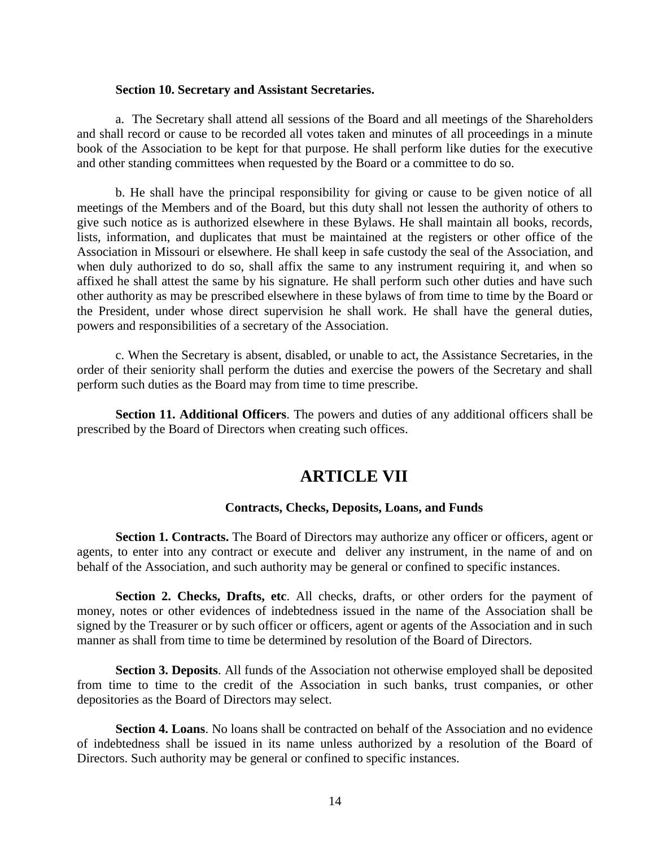#### **Section 10. Secretary and Assistant Secretaries.**

a. The Secretary shall attend all sessions of the Board and all meetings of the Shareholders and shall record or cause to be recorded all votes taken and minutes of all proceedings in a minute book of the Association to be kept for that purpose. He shall perform like duties for the executive and other standing committees when requested by the Board or a committee to do so.

b. He shall have the principal responsibility for giving or cause to be given notice of all meetings of the Members and of the Board, but this duty shall not lessen the authority of others to give such notice as is authorized elsewhere in these Bylaws. He shall maintain all books, records, lists, information, and duplicates that must be maintained at the registers or other office of the Association in Missouri or elsewhere. He shall keep in safe custody the seal of the Association, and when duly authorized to do so, shall affix the same to any instrument requiring it, and when so affixed he shall attest the same by his signature. He shall perform such other duties and have such other authority as may be prescribed elsewhere in these bylaws of from time to time by the Board or the President, under whose direct supervision he shall work. He shall have the general duties, powers and responsibilities of a secretary of the Association.

c. When the Secretary is absent, disabled, or unable to act, the Assistance Secretaries, in the order of their seniority shall perform the duties and exercise the powers of the Secretary and shall perform such duties as the Board may from time to time prescribe.

**Section 11. Additional Officers**. The powers and duties of any additional officers shall be prescribed by the Board of Directors when creating such offices.

# **ARTICLE VII**

#### **Contracts, Checks, Deposits, Loans, and Funds**

**Section 1. Contracts.** The Board of Directors may authorize any officer or officers, agent or agents, to enter into any contract or execute and deliver any instrument, in the name of and on behalf of the Association, and such authority may be general or confined to specific instances.

**Section 2. Checks, Drafts, etc**. All checks, drafts, or other orders for the payment of money, notes or other evidences of indebtedness issued in the name of the Association shall be signed by the Treasurer or by such officer or officers, agent or agents of the Association and in such manner as shall from time to time be determined by resolution of the Board of Directors.

**Section 3. Deposits**. All funds of the Association not otherwise employed shall be deposited from time to time to the credit of the Association in such banks, trust companies, or other depositories as the Board of Directors may select.

**Section 4. Loans**. No loans shall be contracted on behalf of the Association and no evidence of indebtedness shall be issued in its name unless authorized by a resolution of the Board of Directors. Such authority may be general or confined to specific instances.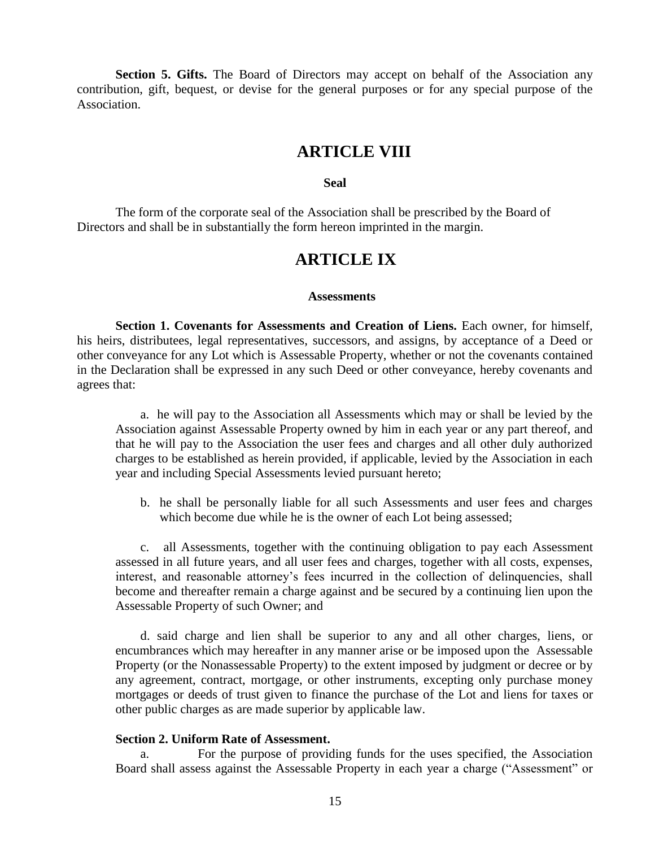**Section 5. Gifts.** The Board of Directors may accept on behalf of the Association any contribution, gift, bequest, or devise for the general purposes or for any special purpose of the Association.

# **ARTICLE VIII**

#### **Seal**

The form of the corporate seal of the Association shall be prescribed by the Board of Directors and shall be in substantially the form hereon imprinted in the margin.

# **ARTICLE IX**

#### **Assessments**

**Section 1. Covenants for Assessments and Creation of Liens.** Each owner, for himself, his heirs, distributees, legal representatives, successors, and assigns, by acceptance of a Deed or other conveyance for any Lot which is Assessable Property, whether or not the covenants contained in the Declaration shall be expressed in any such Deed or other conveyance, hereby covenants and agrees that:

a. he will pay to the Association all Assessments which may or shall be levied by the Association against Assessable Property owned by him in each year or any part thereof, and that he will pay to the Association the user fees and charges and all other duly authorized charges to be established as herein provided, if applicable, levied by the Association in each year and including Special Assessments levied pursuant hereto;

b. he shall be personally liable for all such Assessments and user fees and charges which become due while he is the owner of each Lot being assessed;

c. all Assessments, together with the continuing obligation to pay each Assessment assessed in all future years, and all user fees and charges, together with all costs, expenses, interest, and reasonable attorney's fees incurred in the collection of delinquencies, shall become and thereafter remain a charge against and be secured by a continuing lien upon the Assessable Property of such Owner; and

d. said charge and lien shall be superior to any and all other charges, liens, or encumbrances which may hereafter in any manner arise or be imposed upon the Assessable Property (or the Nonassessable Property) to the extent imposed by judgment or decree or by any agreement, contract, mortgage, or other instruments, excepting only purchase money mortgages or deeds of trust given to finance the purchase of the Lot and liens for taxes or other public charges as are made superior by applicable law.

#### **Section 2. Uniform Rate of Assessment.**

a. For the purpose of providing funds for the uses specified, the Association Board shall assess against the Assessable Property in each year a charge ("Assessment" or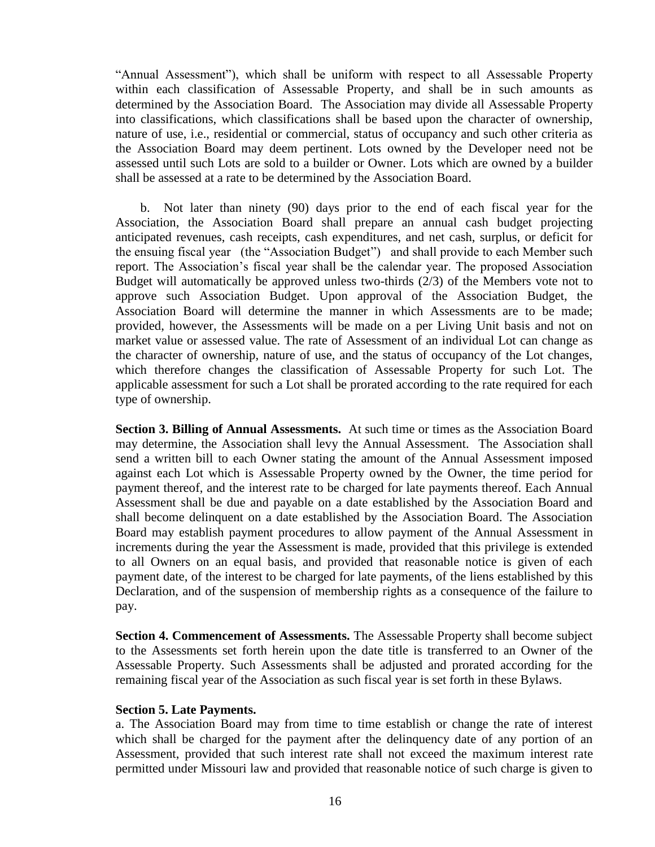"Annual Assessment"), which shall be uniform with respect to all Assessable Property within each classification of Assessable Property, and shall be in such amounts as determined by the Association Board. The Association may divide all Assessable Property into classifications, which classifications shall be based upon the character of ownership, nature of use, i.e., residential or commercial, status of occupancy and such other criteria as the Association Board may deem pertinent. Lots owned by the Developer need not be assessed until such Lots are sold to a builder or Owner. Lots which are owned by a builder shall be assessed at a rate to be determined by the Association Board.

b. Not later than ninety (90) days prior to the end of each fiscal year for the Association, the Association Board shall prepare an annual cash budget projecting anticipated revenues, cash receipts, cash expenditures, and net cash, surplus, or deficit for the ensuing fiscal year (the "Association Budget") and shall provide to each Member such report. The Association's fiscal year shall be the calendar year. The proposed Association Budget will automatically be approved unless two-thirds (2/3) of the Members vote not to approve such Association Budget. Upon approval of the Association Budget, the Association Board will determine the manner in which Assessments are to be made; provided, however, the Assessments will be made on a per Living Unit basis and not on market value or assessed value. The rate of Assessment of an individual Lot can change as the character of ownership, nature of use, and the status of occupancy of the Lot changes, which therefore changes the classification of Assessable Property for such Lot. The applicable assessment for such a Lot shall be prorated according to the rate required for each type of ownership.

**Section 3. Billing of Annual Assessments.** At such time or times as the Association Board may determine, the Association shall levy the Annual Assessment. The Association shall send a written bill to each Owner stating the amount of the Annual Assessment imposed against each Lot which is Assessable Property owned by the Owner, the time period for payment thereof, and the interest rate to be charged for late payments thereof. Each Annual Assessment shall be due and payable on a date established by the Association Board and shall become delinquent on a date established by the Association Board. The Association Board may establish payment procedures to allow payment of the Annual Assessment in increments during the year the Assessment is made, provided that this privilege is extended to all Owners on an equal basis, and provided that reasonable notice is given of each payment date, of the interest to be charged for late payments, of the liens established by this Declaration, and of the suspension of membership rights as a consequence of the failure to pay.

**Section 4. Commencement of Assessments.** The Assessable Property shall become subject to the Assessments set forth herein upon the date title is transferred to an Owner of the Assessable Property. Such Assessments shall be adjusted and prorated according for the remaining fiscal year of the Association as such fiscal year is set forth in these Bylaws.

### **Section 5. Late Payments.**

a. The Association Board may from time to time establish or change the rate of interest which shall be charged for the payment after the delinquency date of any portion of an Assessment, provided that such interest rate shall not exceed the maximum interest rate permitted under Missouri law and provided that reasonable notice of such charge is given to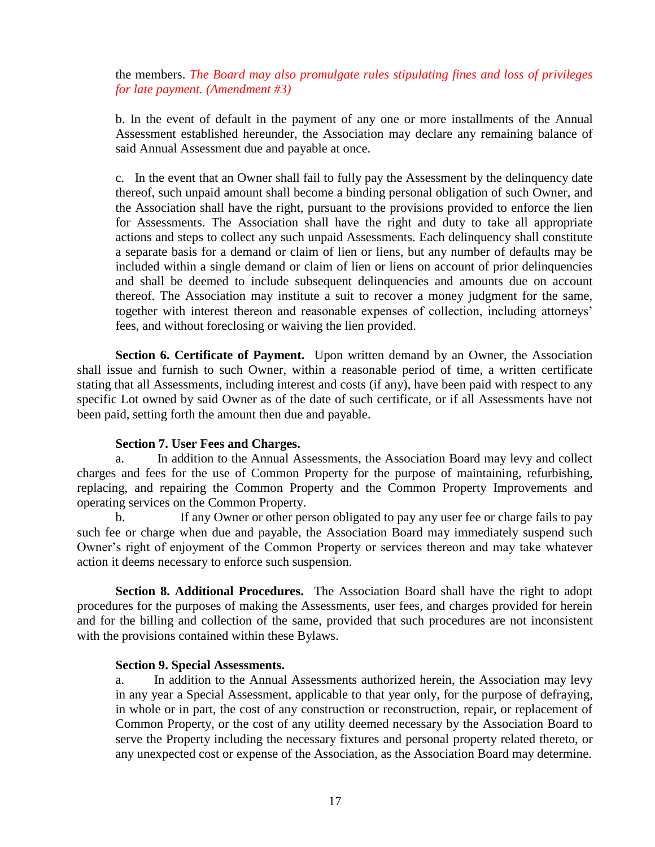the members. *The Board may also promulgate rules stipulating fines and loss of privileges for late payment. (Amendment #3)*

b. In the event of default in the payment of any one or more installments of the Annual Assessment established hereunder, the Association may declare any remaining balance of said Annual Assessment due and payable at once.

c. In the event that an Owner shall fail to fully pay the Assessment by the delinquency date thereof, such unpaid amount shall become a binding personal obligation of such Owner, and the Association shall have the right, pursuant to the provisions provided to enforce the lien for Assessments. The Association shall have the right and duty to take all appropriate actions and steps to collect any such unpaid Assessments. Each delinquency shall constitute a separate basis for a demand or claim of lien or liens, but any number of defaults may be included within a single demand or claim of lien or liens on account of prior delinquencies and shall be deemed to include subsequent delinquencies and amounts due on account thereof. The Association may institute a suit to recover a money judgment for the same, together with interest thereon and reasonable expenses of collection, including attorneys' fees, and without foreclosing or waiving the lien provided.

**Section 6. Certificate of Payment.** Upon written demand by an Owner, the Association shall issue and furnish to such Owner, within a reasonable period of time, a written certificate stating that all Assessments, including interest and costs (if any), have been paid with respect to any specific Lot owned by said Owner as of the date of such certificate, or if all Assessments have not been paid, setting forth the amount then due and payable.

# **Section 7. User Fees and Charges.**

a. In addition to the Annual Assessments, the Association Board may levy and collect charges and fees for the use of Common Property for the purpose of maintaining, refurbishing, replacing, and repairing the Common Property and the Common Property Improvements and operating services on the Common Property.

b. If any Owner or other person obligated to pay any user fee or charge fails to pay such fee or charge when due and payable, the Association Board may immediately suspend such Owner's right of enjoyment of the Common Property or services thereon and may take whatever action it deems necessary to enforce such suspension.

**Section 8. Additional Procedures.** The Association Board shall have the right to adopt procedures for the purposes of making the Assessments, user fees, and charges provided for herein and for the billing and collection of the same, provided that such procedures are not inconsistent with the provisions contained within these Bylaws.

# **Section 9. Special Assessments.**

a. In addition to the Annual Assessments authorized herein, the Association may levy in any year a Special Assessment, applicable to that year only, for the purpose of defraying, in whole or in part, the cost of any construction or reconstruction, repair, or replacement of Common Property, or the cost of any utility deemed necessary by the Association Board to serve the Property including the necessary fixtures and personal property related thereto, or any unexpected cost or expense of the Association, as the Association Board may determine.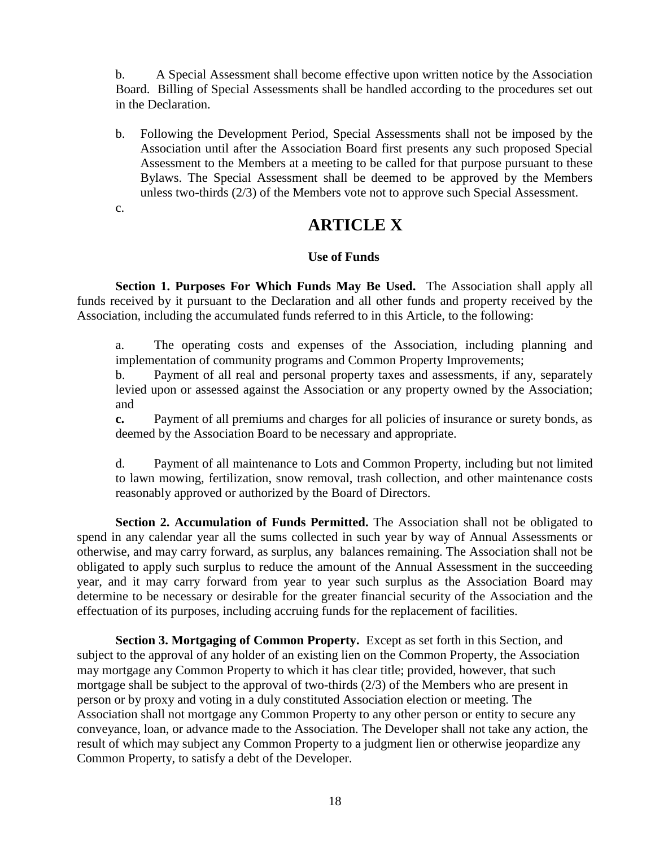b. A Special Assessment shall become effective upon written notice by the Association Board. Billing of Special Assessments shall be handled according to the procedures set out in the Declaration.

b. Following the Development Period, Special Assessments shall not be imposed by the Association until after the Association Board first presents any such proposed Special Assessment to the Members at a meeting to be called for that purpose pursuant to these Bylaws. The Special Assessment shall be deemed to be approved by the Members unless two-thirds (2/3) of the Members vote not to approve such Special Assessment.

c.

# **ARTICLE X**

# **Use of Funds**

**Section 1. Purposes For Which Funds May Be Used.** The Association shall apply all funds received by it pursuant to the Declaration and all other funds and property received by the Association, including the accumulated funds referred to in this Article, to the following:

a. The operating costs and expenses of the Association, including planning and implementation of community programs and Common Property Improvements;

b. Payment of all real and personal property taxes and assessments, if any, separately levied upon or assessed against the Association or any property owned by the Association; and

**c.** Payment of all premiums and charges for all policies of insurance or surety bonds, as deemed by the Association Board to be necessary and appropriate.

d. Payment of all maintenance to Lots and Common Property, including but not limited to lawn mowing, fertilization, snow removal, trash collection, and other maintenance costs reasonably approved or authorized by the Board of Directors.

**Section 2. Accumulation of Funds Permitted.** The Association shall not be obligated to spend in any calendar year all the sums collected in such year by way of Annual Assessments or otherwise, and may carry forward, as surplus, any balances remaining. The Association shall not be obligated to apply such surplus to reduce the amount of the Annual Assessment in the succeeding year, and it may carry forward from year to year such surplus as the Association Board may determine to be necessary or desirable for the greater financial security of the Association and the effectuation of its purposes, including accruing funds for the replacement of facilities.

**Section 3. Mortgaging of Common Property.** Except as set forth in this Section, and subject to the approval of any holder of an existing lien on the Common Property, the Association may mortgage any Common Property to which it has clear title; provided, however, that such mortgage shall be subject to the approval of two-thirds (2/3) of the Members who are present in person or by proxy and voting in a duly constituted Association election or meeting. The Association shall not mortgage any Common Property to any other person or entity to secure any conveyance, loan, or advance made to the Association. The Developer shall not take any action, the result of which may subject any Common Property to a judgment lien or otherwise jeopardize any Common Property, to satisfy a debt of the Developer.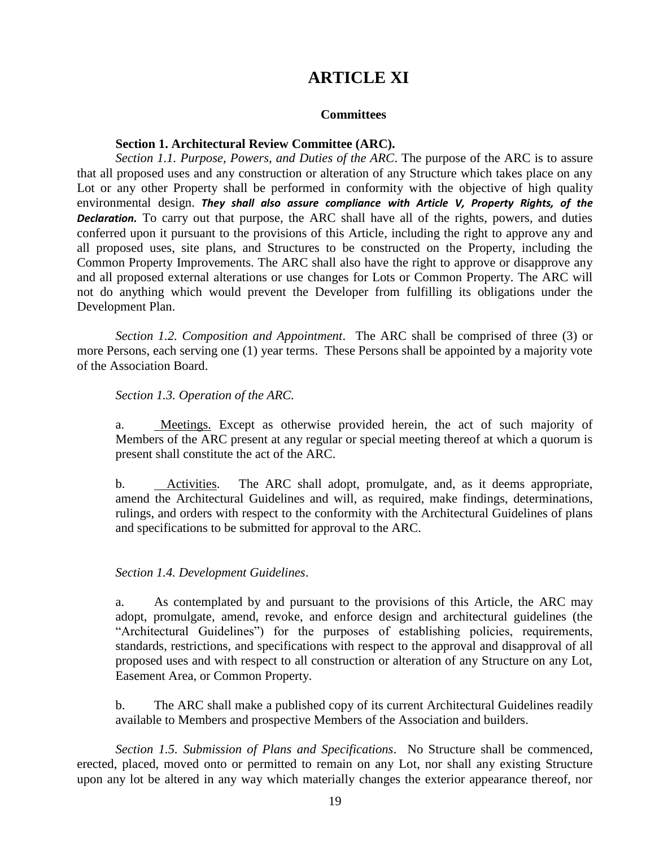# **ARTICLE XI**

## **Committees**

### **Section 1. Architectural Review Committee (ARC).**

*Section 1.1. Purpose, Powers, and Duties of the ARC*. The purpose of the ARC is to assure that all proposed uses and any construction or alteration of any Structure which takes place on any Lot or any other Property shall be performed in conformity with the objective of high quality environmental design. *They shall also assure compliance with Article V, Property Rights, of the Declaration.* To carry out that purpose, the ARC shall have all of the rights, powers, and duties conferred upon it pursuant to the provisions of this Article, including the right to approve any and all proposed uses, site plans, and Structures to be constructed on the Property, including the Common Property Improvements. The ARC shall also have the right to approve or disapprove any and all proposed external alterations or use changes for Lots or Common Property. The ARC will not do anything which would prevent the Developer from fulfilling its obligations under the Development Plan.

*Section 1.2. Composition and Appointment*. The ARC shall be comprised of three (3) or more Persons, each serving one (1) year terms. These Persons shall be appointed by a majority vote of the Association Board.

### *Section 1.3. Operation of the ARC.*

a. Meetings. Except as otherwise provided herein, the act of such majority of Members of the ARC present at any regular or special meeting thereof at which a quorum is present shall constitute the act of the ARC.

b. Activities. The ARC shall adopt, promulgate, and, as it deems appropriate, amend the Architectural Guidelines and will, as required, make findings, determinations, rulings, and orders with respect to the conformity with the Architectural Guidelines of plans and specifications to be submitted for approval to the ARC.

### *Section 1.4. Development Guidelines*.

a. As contemplated by and pursuant to the provisions of this Article, the ARC may adopt, promulgate, amend, revoke, and enforce design and architectural guidelines (the "Architectural Guidelines") for the purposes of establishing policies, requirements, standards, restrictions, and specifications with respect to the approval and disapproval of all proposed uses and with respect to all construction or alteration of any Structure on any Lot, Easement Area, or Common Property.

b. The ARC shall make a published copy of its current Architectural Guidelines readily available to Members and prospective Members of the Association and builders.

*Section 1.5. Submission of Plans and Specifications*. No Structure shall be commenced, erected, placed, moved onto or permitted to remain on any Lot, nor shall any existing Structure upon any lot be altered in any way which materially changes the exterior appearance thereof, nor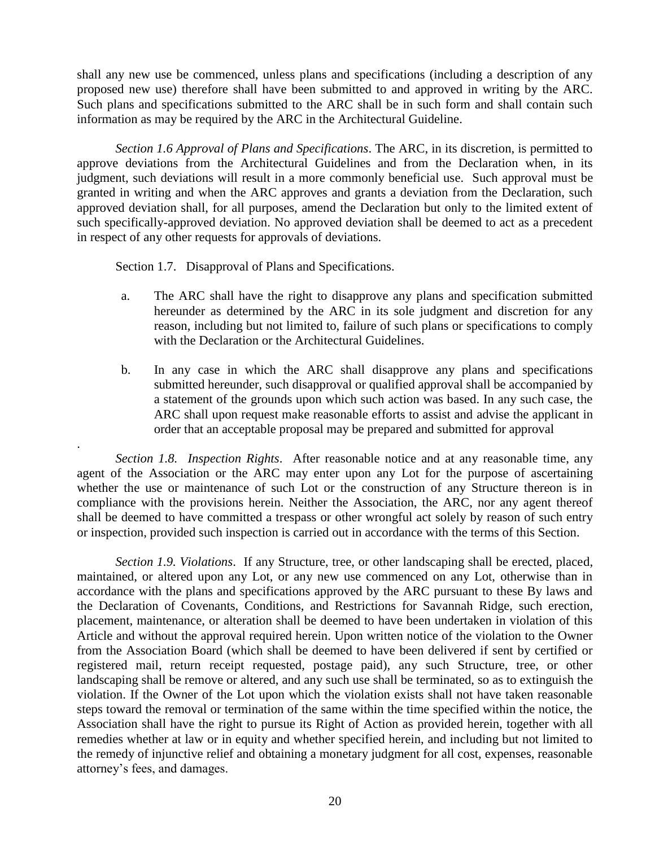shall any new use be commenced, unless plans and specifications (including a description of any proposed new use) therefore shall have been submitted to and approved in writing by the ARC. Such plans and specifications submitted to the ARC shall be in such form and shall contain such information as may be required by the ARC in the Architectural Guideline.

*Section 1.6 Approval of Plans and Specifications*. The ARC, in its discretion, is permitted to approve deviations from the Architectural Guidelines and from the Declaration when, in its judgment, such deviations will result in a more commonly beneficial use. Such approval must be granted in writing and when the ARC approves and grants a deviation from the Declaration, such approved deviation shall, for all purposes, amend the Declaration but only to the limited extent of such specifically-approved deviation. No approved deviation shall be deemed to act as a precedent in respect of any other requests for approvals of deviations.

Section 1.7. Disapproval of Plans and Specifications.

.

- a. The ARC shall have the right to disapprove any plans and specification submitted hereunder as determined by the ARC in its sole judgment and discretion for any reason, including but not limited to, failure of such plans or specifications to comply with the Declaration or the Architectural Guidelines.
- b. In any case in which the ARC shall disapprove any plans and specifications submitted hereunder, such disapproval or qualified approval shall be accompanied by a statement of the grounds upon which such action was based. In any such case, the ARC shall upon request make reasonable efforts to assist and advise the applicant in order that an acceptable proposal may be prepared and submitted for approval

*Section 1.8. Inspection Rights*. After reasonable notice and at any reasonable time, any agent of the Association or the ARC may enter upon any Lot for the purpose of ascertaining whether the use or maintenance of such Lot or the construction of any Structure thereon is in compliance with the provisions herein. Neither the Association, the ARC, nor any agent thereof shall be deemed to have committed a trespass or other wrongful act solely by reason of such entry or inspection, provided such inspection is carried out in accordance with the terms of this Section.

*Section 1.9. Violations*. If any Structure, tree, or other landscaping shall be erected, placed, maintained, or altered upon any Lot, or any new use commenced on any Lot, otherwise than in accordance with the plans and specifications approved by the ARC pursuant to these By laws and the Declaration of Covenants, Conditions, and Restrictions for Savannah Ridge, such erection, placement, maintenance, or alteration shall be deemed to have been undertaken in violation of this Article and without the approval required herein. Upon written notice of the violation to the Owner from the Association Board (which shall be deemed to have been delivered if sent by certified or registered mail, return receipt requested, postage paid), any such Structure, tree, or other landscaping shall be remove or altered, and any such use shall be terminated, so as to extinguish the violation. If the Owner of the Lot upon which the violation exists shall not have taken reasonable steps toward the removal or termination of the same within the time specified within the notice, the Association shall have the right to pursue its Right of Action as provided herein, together with all remedies whether at law or in equity and whether specified herein, and including but not limited to the remedy of injunctive relief and obtaining a monetary judgment for all cost, expenses, reasonable attorney's fees, and damages.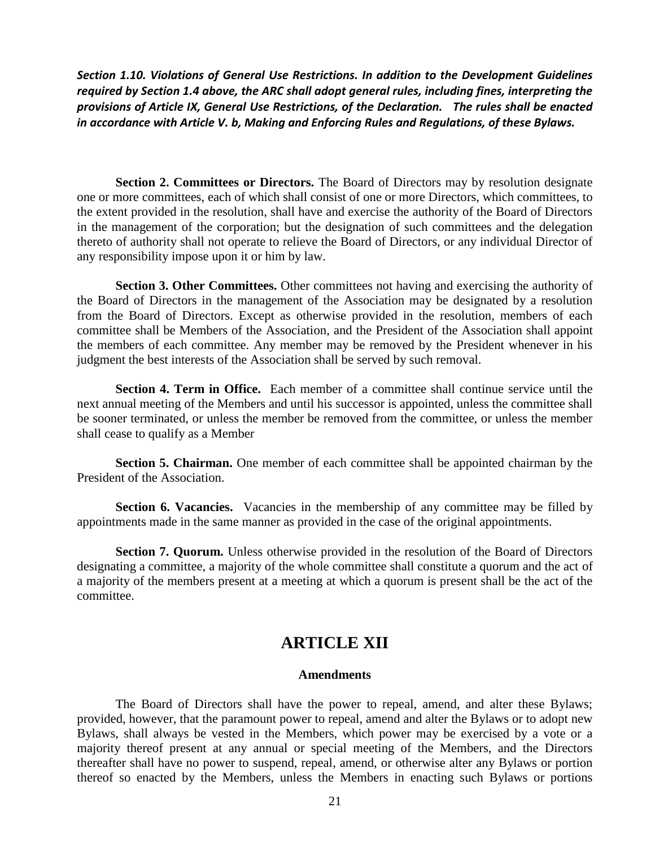*Section 1.10. Violations of General Use Restrictions. In addition to the Development Guidelines required by Section 1.4 above, the ARC shall adopt general rules, including fines, interpreting the provisions of Article IX, General Use Restrictions, of the Declaration. The rules shall be enacted in accordance with Article V. b, Making and Enforcing Rules and Regulations, of these Bylaws.* 

**Section 2. Committees or Directors.** The Board of Directors may by resolution designate one or more committees, each of which shall consist of one or more Directors, which committees, to the extent provided in the resolution, shall have and exercise the authority of the Board of Directors in the management of the corporation; but the designation of such committees and the delegation thereto of authority shall not operate to relieve the Board of Directors, or any individual Director of any responsibility impose upon it or him by law.

**Section 3. Other Committees.** Other committees not having and exercising the authority of the Board of Directors in the management of the Association may be designated by a resolution from the Board of Directors. Except as otherwise provided in the resolution, members of each committee shall be Members of the Association, and the President of the Association shall appoint the members of each committee. Any member may be removed by the President whenever in his judgment the best interests of the Association shall be served by such removal.

**Section 4. Term in Office.** Each member of a committee shall continue service until the next annual meeting of the Members and until his successor is appointed, unless the committee shall be sooner terminated, or unless the member be removed from the committee, or unless the member shall cease to qualify as a Member

**Section 5. Chairman.** One member of each committee shall be appointed chairman by the President of the Association.

**Section 6. Vacancies.** Vacancies in the membership of any committee may be filled by appointments made in the same manner as provided in the case of the original appointments.

**Section 7. Quorum.** Unless otherwise provided in the resolution of the Board of Directors designating a committee, a majority of the whole committee shall constitute a quorum and the act of a majority of the members present at a meeting at which a quorum is present shall be the act of the committee.

# **ARTICLE XII**

### **Amendments**

The Board of Directors shall have the power to repeal, amend, and alter these Bylaws; provided, however, that the paramount power to repeal, amend and alter the Bylaws or to adopt new Bylaws, shall always be vested in the Members, which power may be exercised by a vote or a majority thereof present at any annual or special meeting of the Members, and the Directors thereafter shall have no power to suspend, repeal, amend, or otherwise alter any Bylaws or portion thereof so enacted by the Members, unless the Members in enacting such Bylaws or portions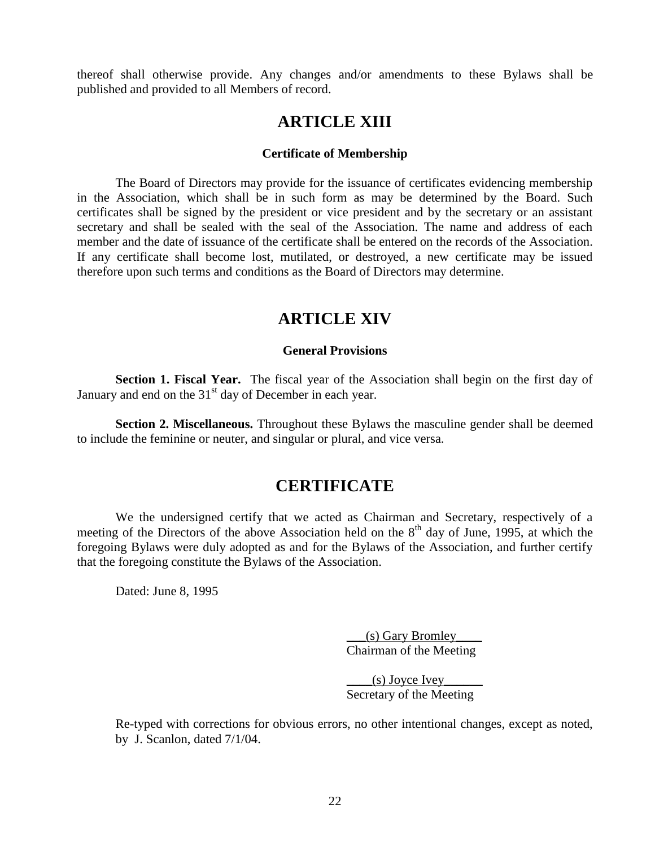thereof shall otherwise provide. Any changes and/or amendments to these Bylaws shall be published and provided to all Members of record.

# **ARTICLE XIII**

### **Certificate of Membership**

The Board of Directors may provide for the issuance of certificates evidencing membership in the Association, which shall be in such form as may be determined by the Board. Such certificates shall be signed by the president or vice president and by the secretary or an assistant secretary and shall be sealed with the seal of the Association. The name and address of each member and the date of issuance of the certificate shall be entered on the records of the Association. If any certificate shall become lost, mutilated, or destroyed, a new certificate may be issued therefore upon such terms and conditions as the Board of Directors may determine.

# **ARTICLE XIV**

### **General Provisions**

**Section 1. Fiscal Year.** The fiscal year of the Association shall begin on the first day of January and end on the  $31<sup>st</sup>$  day of December in each year.

**Section 2. Miscellaneous.** Throughout these Bylaws the masculine gender shall be deemed to include the feminine or neuter, and singular or plural, and vice versa.

# **CERTIFICATE**

We the undersigned certify that we acted as Chairman and Secretary, respectively of a meeting of the Directors of the above Association held on the  $8<sup>th</sup>$  day of June, 1995, at which the foregoing Bylaws were duly adopted as and for the Bylaws of the Association, and further certify that the foregoing constitute the Bylaws of the Association.

Dated: June 8, 1995

 $($ s) Gary Bromley Chairman of the Meeting

 $(s)$  Joyce Ivey Secretary of the Meeting

Re-typed with corrections for obvious errors, no other intentional changes, except as noted, by J. Scanlon, dated 7/1/04.